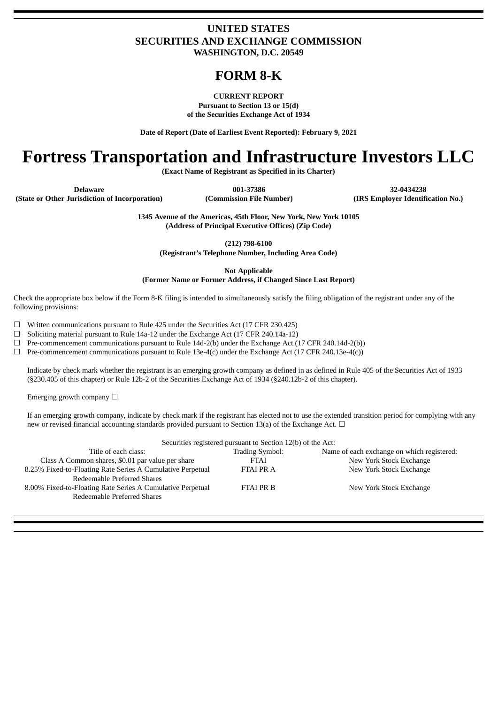# **UNITED STATES SECURITIES AND EXCHANGE COMMISSION WASHINGTON, D.C. 20549**

# **FORM 8-K**

**CURRENT REPORT Pursuant to Section 13 or 15(d) of the Securities Exchange Act of 1934**

**Date of Report (Date of Earliest Event Reported): February 9, 2021**

# **Fortress Transportation and Infrastructure Investors LLC**

**(Exact Name of Registrant as Specified in its Charter)**

**Delaware 001-37386 32-0434238 (State or Other Jurisdiction of Incorporation) (Commission File Number) (IRS Employer Identification No.)**

> **1345 Avenue of the Americas, 45th Floor, New York, New York 10105 (Address of Principal Executive Offices) (Zip Code)**

> > **(212) 798-6100**

**(Registrant's Telephone Number, Including Area Code)**

**Not Applicable**

**(Former Name or Former Address, if Changed Since Last Report)**

Check the appropriate box below if the Form 8-K filing is intended to simultaneously satisfy the filing obligation of the registrant under any of the following provisions:

☐ Written communications pursuant to Rule 425 under the Securities Act (17 CFR 230.425)

☐ Soliciting material pursuant to Rule 14a-12 under the Exchange Act (17 CFR 240.14a-12)

 $\Box$  Pre-commencement communications pursuant to Rule 14d-2(b) under the Exchange Act (17 CFR 240.14d-2(b))

☐ Pre-commencement communications pursuant to Rule 13e-4(c) under the Exchange Act (17 CFR 240.13e-4(c))

Indicate by check mark whether the registrant is an emerging growth company as defined in as defined in Rule 405 of the Securities Act of 1933 (§230.405 of this chapter) or Rule 12b-2 of the Securities Exchange Act of 1934 (§240.12b-2 of this chapter).

Emerging growth company  $\Box$ 

If an emerging growth company, indicate by check mark if the registrant has elected not to use the extended transition period for complying with any new or revised financial accounting standards provided pursuant to Section 13(a) of the Exchange Act.  $\Box$ 

| Securities registered pursuant to Section 12(b) of the Act:                               |                        |                                            |
|-------------------------------------------------------------------------------------------|------------------------|--------------------------------------------|
| Title of each class:                                                                      | <b>Trading Symbol:</b> | Name of each exchange on which registered: |
| Class A Common shares, \$0.01 par value per share                                         | <b>FTAI</b>            | New York Stock Exchange                    |
| 8.25% Fixed-to-Floating Rate Series A Cumulative Perpetual<br>Redeemable Preferred Shares | FTAI PR A              | New York Stock Exchange                    |
| 8.00% Fixed-to-Floating Rate Series A Cumulative Perpetual<br>Redeemable Preferred Shares | <b>FTAI PR B</b>       | New York Stock Exchange                    |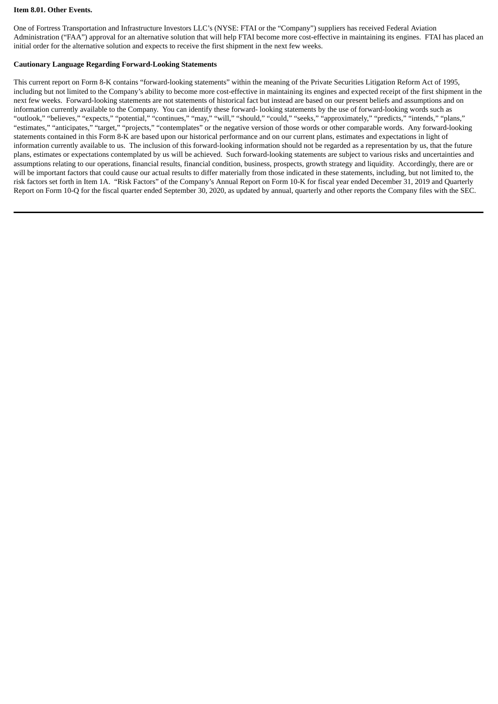#### **Item 8.01. Other Events.**

One of Fortress Transportation and Infrastructure Investors LLC's (NYSE: FTAI or the "Company") suppliers has received Federal Aviation Administration ("FAA") approval for an alternative solution that will help FTAI become more cost-effective in maintaining its engines. FTAI has placed an initial order for the alternative solution and expects to receive the first shipment in the next few weeks.

#### **Cautionary Language Regarding Forward-Looking Statements**

This current report on Form 8-K contains "forward-looking statements" within the meaning of the Private Securities Litigation Reform Act of 1995, including but not limited to the Company's ability to become more cost-effective in maintaining its engines and expected receipt of the first shipment in the next few weeks. Forward-looking statements are not statements of historical fact but instead are based on our present beliefs and assumptions and on information currently available to the Company. You can identify these forward- looking statements by the use of forward-looking words such as "outlook," "believes," "expects," "potential," "continues," "may," "will," "should," "could," "seeks," "approximately," "predicts," "intends," "plans," "estimates," "anticipates," "target," "projects," "contemplates" or the negative version of those words or other comparable words. Any forward-looking statements contained in this Form 8-K are based upon our historical performance and on our current plans, estimates and expectations in light of information currently available to us. The inclusion of this forward-looking information should not be regarded as a representation by us, that the future plans, estimates or expectations contemplated by us will be achieved. Such forward-looking statements are subject to various risks and uncertainties and assumptions relating to our operations, financial results, financial condition, business, prospects, growth strategy and liquidity. Accordingly, there are or will be important factors that could cause our actual results to differ materially from those indicated in these statements, including, but not limited to, the risk factors set forth in Item 1A. "Risk Factors" of the Company's Annual Report on Form 10-K for fiscal year ended December 31, 2019 and Quarterly Report on Form 10-Q for the fiscal quarter ended September 30, 2020, as updated by annual, quarterly and other reports the Company files with the SEC.